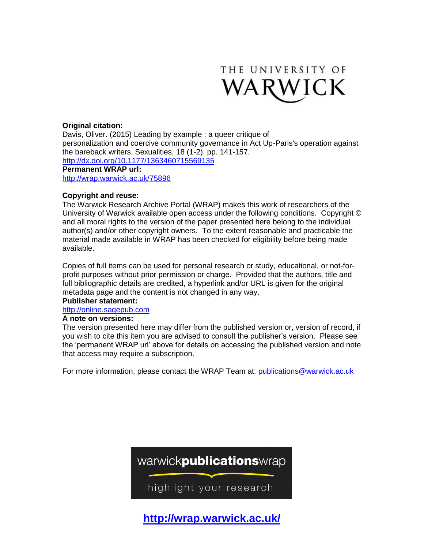

## **Original citation:**

Davis, Oliver. (2015) Leading by example : a queer critique of personalization and coercive community governance in Act Up-Paris's operation against the bareback writers. Sexualities, 18 (1-2). pp. 141-157. <http://dx.doi.org/10.1177/1363460715569135> **Permanent WRAP url:** <http://wrap.warwick.ac.uk/75896>

#### **Copyright and reuse:**

The Warwick Research Archive Portal (WRAP) makes this work of researchers of the University of Warwick available open access under the following conditions. Copyright © and all moral rights to the version of the paper presented here belong to the individual author(s) and/or other copyright owners. To the extent reasonable and practicable the material made available in WRAP has been checked for eligibility before being made available.

Copies of full items can be used for personal research or study, educational, or not-forprofit purposes without prior permission or charge. Provided that the authors, title and full bibliographic details are credited, a hyperlink and/or URL is given for the original metadata page and the content is not changed in any way.

### **Publisher statement:**

[http://online.sagepub.com](http://online.sagepub.com/)

#### **A note on versions:**

The version presented here may differ from the published version or, version of record, if you wish to cite this item you are advised to consult the publisher's version. Please see the 'permanent WRAP url' above for details on accessing the published version and note that access may require a subscription.

For more information, please contact the WRAP Team at: [publications@warwick.ac.uk](mailto:publications@warwick.ac.uk)



**<http://wrap.warwick.ac.uk/>**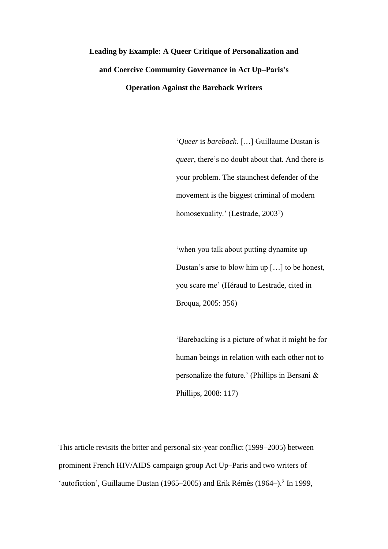# **Leading by Example: A Queer Critique of Personalization and and Coercive Community Governance in Act Up–Paris's Operation Against the Bareback Writers**

'*Queer* is *bareback*. […] Guillaume Dustan is *queer*, there's no doubt about that. And there is your problem. The staunchest defender of the movement is the biggest criminal of modern homosexuality.' (Lestrade, 2003<sup>1</sup>)

'when you talk about putting dynamite up Dustan's arse to blow him up […] to be honest, you scare me' (Héraud to Lestrade, cited in Broqua, 2005: 356)

'Barebacking is a picture of what it might be for human beings in relation with each other not to personalize the future.' (Phillips in Bersani & Phillips, 2008: 117)

This article revisits the bitter and personal six-year conflict (1999–2005) between prominent French HIV/AIDS campaign group Act Up–Paris and two writers of 'autofiction', Guillaume Dustan (1965–2005) and Erik Rémès (1964–).<sup>2</sup> In 1999,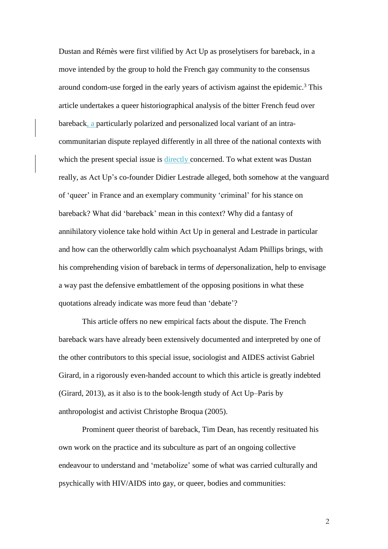Dustan and Rémès were first vilified by Act Up as proselytisers for bareback, in a move intended by the group to hold the French gay community to the consensus around condom-use forged in the early years of activism against the epidemic. <sup>3</sup> This article undertakes a queer historiographical analysis of the bitter French feud over bareback, a particularly polarized and personalized local variant of an intracommunitarian dispute replayed differently in all three of the national contexts with which the present special issue is directly concerned. To what extent was Dustan really, as Act Up's co-founder Didier Lestrade alleged, both somehow at the vanguard of 'queer' in France and an exemplary community 'criminal' for his stance on bareback? What did 'bareback' mean in this context? Why did a fantasy of annihilatory violence take hold within Act Up in general and Lestrade in particular and how can the otherworldly calm which psychoanalyst Adam Phillips brings, with his comprehending vision of bareback in terms of *de*personalization, help to envisage a way past the defensive embattlement of the opposing positions in what these quotations already indicate was more feud than 'debate'?

This article offers no new empirical facts about the dispute. The French bareback wars have already been extensively documented and interpreted by one of the other contributors to this special issue, sociologist and AIDES activist Gabriel Girard, in a rigorously even-handed account to which this article is greatly indebted (Girard, 2013), as it also is to the book-length study of Act Up–Paris by anthropologist and activist Christophe Broqua (2005).

Prominent queer theorist of bareback, Tim Dean, has recently resituated his own work on the practice and its subculture as part of an ongoing collective endeavour to understand and 'metabolize' some of what was carried culturally and psychically with HIV/AIDS into gay, or queer, bodies and communities: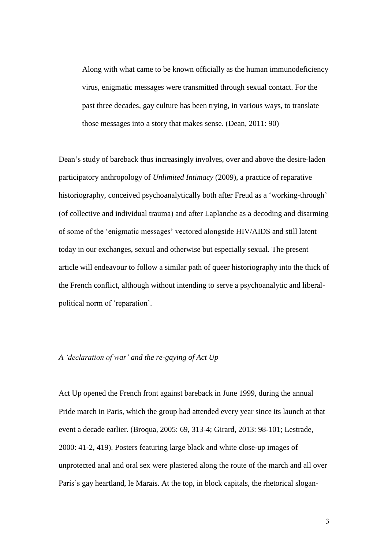Along with what came to be known officially as the human immunodeficiency virus, enigmatic messages were transmitted through sexual contact. For the past three decades, gay culture has been trying, in various ways, to translate those messages into a story that makes sense. (Dean, 2011: 90)

Dean's study of bareback thus increasingly involves, over and above the desire-laden participatory anthropology of *Unlimited Intimacy* (2009), a practice of reparative historiography, conceived psychoanalytically both after Freud as a 'working-through' (of collective and individual trauma) and after Laplanche as a decoding and disarming of some of the 'enigmatic messages' vectored alongside HIV/AIDS and still latent today in our exchanges, sexual and otherwise but especially sexual. The present article will endeavour to follow a similar path of queer historiography into the thick of the French conflict, although without intending to serve a psychoanalytic and liberalpolitical norm of 'reparation'.

### *A 'declaration of war' and the re-gaying of Act Up*

Act Up opened the French front against bareback in June 1999, during the annual Pride march in Paris, which the group had attended every year since its launch at that event a decade earlier. (Broqua, 2005: 69, 313-4; Girard, 2013: 98-101; Lestrade, 2000: 41-2, 419). Posters featuring large black and white close-up images of unprotected anal and oral sex were plastered along the route of the march and all over Paris's gay heartland, le Marais. At the top, in block capitals, the rhetorical slogan-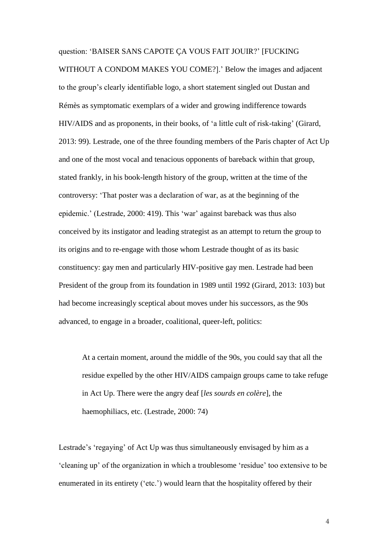#### question: 'BAISER SANS CAPOTE ÇA VOUS FAIT JOUIR?' [FUCKING

WITHOUT A CONDOM MAKES YOU COME?].' Below the images and adjacent to the group's clearly identifiable logo, a short statement singled out Dustan and Rémès as symptomatic exemplars of a wider and growing indifference towards HIV/AIDS and as proponents, in their books, of 'a little cult of risk-taking' (Girard, 2013: 99). Lestrade, one of the three founding members of the Paris chapter of Act Up and one of the most vocal and tenacious opponents of bareback within that group, stated frankly, in his book-length history of the group, written at the time of the controversy: 'That poster was a declaration of war, as at the beginning of the epidemic.' (Lestrade, 2000: 419). This 'war' against bareback was thus also conceived by its instigator and leading strategist as an attempt to return the group to its origins and to re-engage with those whom Lestrade thought of as its basic constituency: gay men and particularly HIV-positive gay men. Lestrade had been President of the group from its foundation in 1989 until 1992 (Girard, 2013: 103) but had become increasingly sceptical about moves under his successors, as the 90s advanced, to engage in a broader, coalitional, queer-left, politics:

At a certain moment, around the middle of the 90s, you could say that all the residue expelled by the other HIV/AIDS campaign groups came to take refuge in Act Up. There were the angry deaf [*les sourds en colère*], the haemophiliacs, etc. (Lestrade, 2000: 74)

Lestrade's 'regaying' of Act Up was thus simultaneously envisaged by him as a 'cleaning up' of the organization in which a troublesome 'residue' too extensive to be enumerated in its entirety ('etc.') would learn that the hospitality offered by their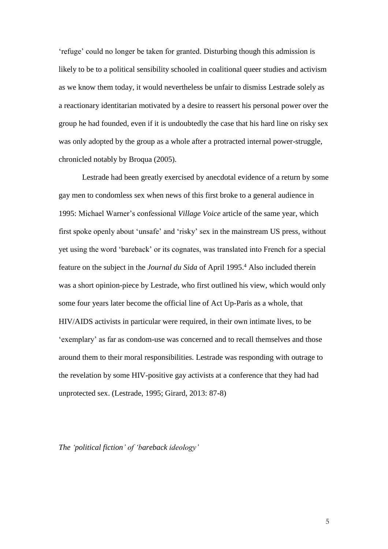'refuge' could no longer be taken for granted. Disturbing though this admission is likely to be to a political sensibility schooled in coalitional queer studies and activism as we know them today, it would nevertheless be unfair to dismiss Lestrade solely as a reactionary identitarian motivated by a desire to reassert his personal power over the group he had founded, even if it is undoubtedly the case that his hard line on risky sex was only adopted by the group as a whole after a protracted internal power-struggle, chronicled notably by Broqua (2005).

Lestrade had been greatly exercised by anecdotal evidence of a return by some gay men to condomless sex when news of this first broke to a general audience in 1995: Michael Warner's confessional *Village Voice* article of the same year, which first spoke openly about 'unsafe' and 'risky' sex in the mainstream US press, without yet using the word 'bareback' or its cognates, was translated into French for a special feature on the subject in the *Journal du Sida* of April 1995. <sup>4</sup> Also included therein was a short opinion-piece by Lestrade, who first outlined his view, which would only some four years later become the official line of Act Up-Paris as a whole, that HIV/AIDS activists in particular were required, in their own intimate lives, to be 'exemplary' as far as condom-use was concerned and to recall themselves and those around them to their moral responsibilities. Lestrade was responding with outrage to the revelation by some HIV-positive gay activists at a conference that they had had unprotected sex. (Lestrade, 1995; Girard, 2013: 87-8)

*The 'political fiction' of 'bareback ideology'*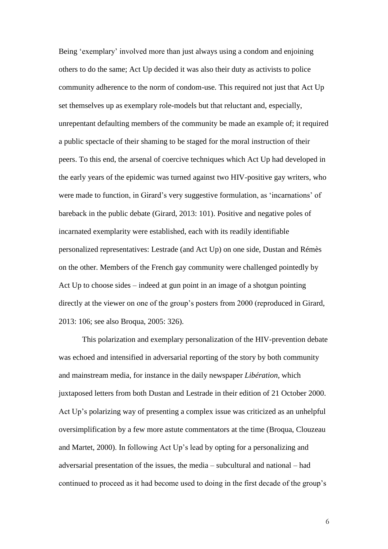Being 'exemplary' involved more than just always using a condom and enjoining others to do the same; Act Up decided it was also their duty as activists to police community adherence to the norm of condom-use. This required not just that Act Up set themselves up as exemplary role-models but that reluctant and, especially, unrepentant defaulting members of the community be made an example of; it required a public spectacle of their shaming to be staged for the moral instruction of their peers. To this end, the arsenal of coercive techniques which Act Up had developed in the early years of the epidemic was turned against two HIV-positive gay writers, who were made to function, in Girard's very suggestive formulation, as 'incarnations' of bareback in the public debate (Girard, 2013: 101). Positive and negative poles of incarnated exemplarity were established, each with its readily identifiable personalized representatives: Lestrade (and Act Up) on one side, Dustan and Rémès on the other. Members of the French gay community were challenged pointedly by Act Up to choose sides – indeed at gun point in an image of a shotgun pointing directly at the viewer on one of the group's posters from 2000 (reproduced in Girard, 2013: 106; see also Broqua, 2005: 326).

This polarization and exemplary personalization of the HIV-prevention debate was echoed and intensified in adversarial reporting of the story by both community and mainstream media, for instance in the daily newspaper *Libération*, which juxtaposed letters from both Dustan and Lestrade in their edition of 21 October 2000. Act Up's polarizing way of presenting a complex issue was criticized as an unhelpful oversimplification by a few more astute commentators at the time (Broqua, Clouzeau and Martet, 2000). In following Act Up's lead by opting for a personalizing and adversarial presentation of the issues, the media – subcultural and national – had continued to proceed as it had become used to doing in the first decade of the group's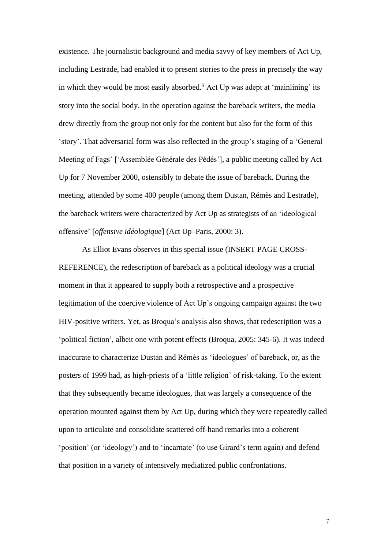existence. The journalistic background and media savvy of key members of Act Up, including Lestrade, had enabled it to present stories to the press in precisely the way in which they would be most easily absorbed. <sup>5</sup> Act Up was adept at 'mainlining' its story into the social body. In the operation against the bareback writers, the media drew directly from the group not only for the content but also for the form of this 'story'. That adversarial form was also reflected in the group's staging of a 'General Meeting of Fags' ['Assemblée Générale des Pédés'], a public meeting called by Act Up for 7 November 2000, ostensibly to debate the issue of bareback. During the meeting, attended by some 400 people (among them Dustan, Rémès and Lestrade), the bareback writers were characterized by Act Up as strategists of an 'ideological offensive' [*offensive idéologique*] (Act Up–Paris, 2000: 3).

As Elliot Evans observes in this special issue (INSERT PAGE CROSS-REFERENCE), the redescription of bareback as a political ideology was a crucial moment in that it appeared to supply both a retrospective and a prospective legitimation of the coercive violence of Act Up's ongoing campaign against the two HIV-positive writers. Yet, as Broqua's analysis also shows, that redescription was a 'political fiction', albeit one with potent effects (Broqua, 2005: 345-6). It was indeed inaccurate to characterize Dustan and Rémès as 'ideologues' of bareback, or, as the posters of 1999 had, as high-priests of a 'little religion' of risk-taking. To the extent that they subsequently became ideologues, that was largely a consequence of the operation mounted against them by Act Up, during which they were repeatedly called upon to articulate and consolidate scattered off-hand remarks into a coherent 'position' (or 'ideology') and to 'incarnate' (to use Girard's term again) and defend that position in a variety of intensively mediatized public confrontations.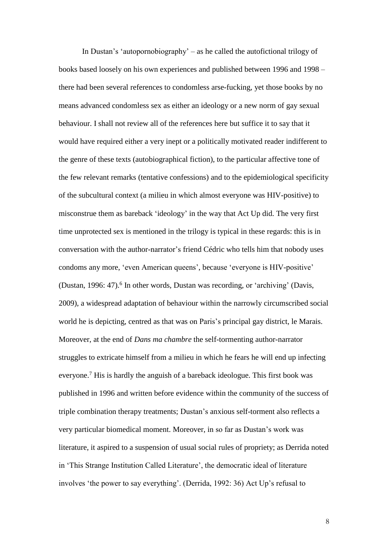In Dustan's 'autopornobiography' – as he called the autofictional trilogy of books based loosely on his own experiences and published between 1996 and 1998 – there had been several references to condomless arse-fucking, yet those books by no means advanced condomless sex as either an ideology or a new norm of gay sexual behaviour. I shall not review all of the references here but suffice it to say that it would have required either a very inept or a politically motivated reader indifferent to the genre of these texts (autobiographical fiction), to the particular affective tone of the few relevant remarks (tentative confessions) and to the epidemiological specificity of the subcultural context (a milieu in which almost everyone was HIV-positive) to misconstrue them as bareback 'ideology' in the way that Act Up did. The very first time unprotected sex is mentioned in the trilogy is typical in these regards: this is in conversation with the author-narrator's friend Cédric who tells him that nobody uses condoms any more, 'even American queens', because 'everyone is HIV-positive' (Dustan, 1996: 47).<sup>6</sup> In other words, Dustan was recording, or 'archiving' (Davis, 2009), a widespread adaptation of behaviour within the narrowly circumscribed social world he is depicting, centred as that was on Paris's principal gay district, le Marais. Moreover, at the end of *Dans ma chambre* the self-tormenting author-narrator struggles to extricate himself from a milieu in which he fears he will end up infecting everyone.<sup>7</sup> His is hardly the anguish of a bareback ideologue. This first book was published in 1996 and written before evidence within the community of the success of triple combination therapy treatments; Dustan's anxious self-torment also reflects a very particular biomedical moment. Moreover, in so far as Dustan's work was literature, it aspired to a suspension of usual social rules of propriety; as Derrida noted in 'This Strange Institution Called Literature', the democratic ideal of literature involves 'the power to say everything'. (Derrida, 1992: 36) Act Up's refusal to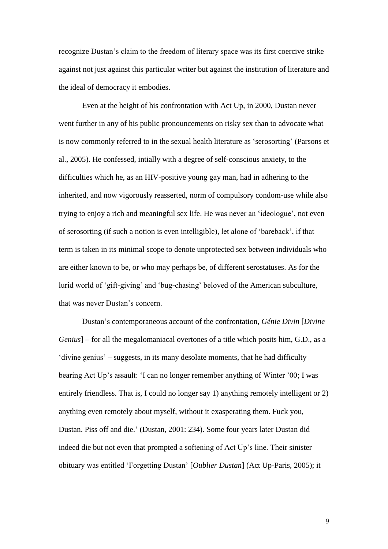recognize Dustan's claim to the freedom of literary space was its first coercive strike against not just against this particular writer but against the institution of literature and the ideal of democracy it embodies.

Even at the height of his confrontation with Act Up, in 2000, Dustan never went further in any of his public pronouncements on risky sex than to advocate what is now commonly referred to in the sexual health literature as 'serosorting' (Parsons et al., 2005). He confessed, intially with a degree of self-conscious anxiety, to the difficulties which he, as an HIV-positive young gay man, had in adhering to the inherited, and now vigorously reasserted, norm of compulsory condom-use while also trying to enjoy a rich and meaningful sex life. He was never an 'ideologue', not even of serosorting (if such a notion is even intelligible), let alone of 'bareback', if that term is taken in its minimal scope to denote unprotected sex between individuals who are either known to be, or who may perhaps be, of different serostatuses. As for the lurid world of 'gift-giving' and 'bug-chasing' beloved of the American subculture, that was never Dustan's concern.

Dustan's contemporaneous account of the confrontation, *Génie Divin* [*Divine Genius*] – for all the megalomaniacal overtones of a title which posits him, G.D., as a 'divine genius' – suggests, in its many desolate moments, that he had difficulty bearing Act Up's assault: 'I can no longer remember anything of Winter '00; I was entirely friendless. That is, I could no longer say 1) anything remotely intelligent or 2) anything even remotely about myself, without it exasperating them. Fuck you, Dustan. Piss off and die.' (Dustan, 2001: 234). Some four years later Dustan did indeed die but not even that prompted a softening of Act Up's line. Their sinister obituary was entitled 'Forgetting Dustan' [*Oublier Dustan*] (Act Up-Paris, 2005); it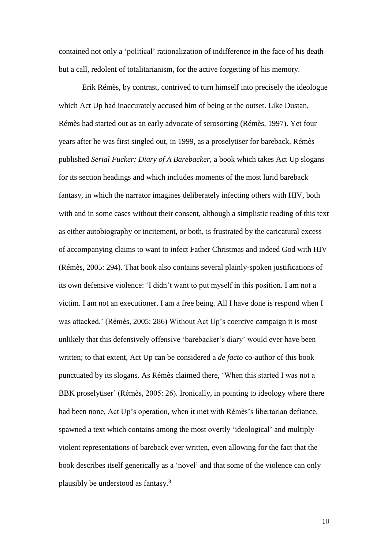contained not only a 'political' rationalization of indifference in the face of his death but a call, redolent of totalitarianism, for the active forgetting of his memory.

Erik Rémès, by contrast, contrived to turn himself into precisely the ideologue which Act Up had inaccurately accused him of being at the outset. Like Dustan, Rémès had started out as an early advocate of serosorting (Rémès, 1997). Yet four years after he was first singled out, in 1999, as a proselytiser for bareback, Rémès published *Serial Fucker: Diary of A Barebacker*, a book which takes Act Up slogans for its section headings and which includes moments of the most lurid bareback fantasy, in which the narrator imagines deliberately infecting others with HIV, both with and in some cases without their consent, although a simplistic reading of this text as either autobiography or incitement, or both, is frustrated by the caricatural excess of accompanying claims to want to infect Father Christmas and indeed God with HIV (Rémès, 2005: 294). That book also contains several plainly-spoken justifications of its own defensive violence: 'I didn't want to put myself in this position. I am not a victim. I am not an executioner. I am a free being. All I have done is respond when I was attacked.' (Rémès, 2005: 286) Without Act Up's coercive campaign it is most unlikely that this defensively offensive 'barebacker's diary' would ever have been written; to that extent, Act Up can be considered a *de facto* co-author of this book punctuated by its slogans. As Rémès claimed there, 'When this started I was not a BBK proselytiser' (Rémès, 2005: 26). Ironically, in pointing to ideology where there had been none, Act Up's operation, when it met with Rémès's libertarian defiance, spawned a text which contains among the most overtly 'ideological' and multiply violent representations of bareback ever written, even allowing for the fact that the book describes itself generically as a 'novel' and that some of the violence can only plausibly be understood as fantasy.<sup>8</sup>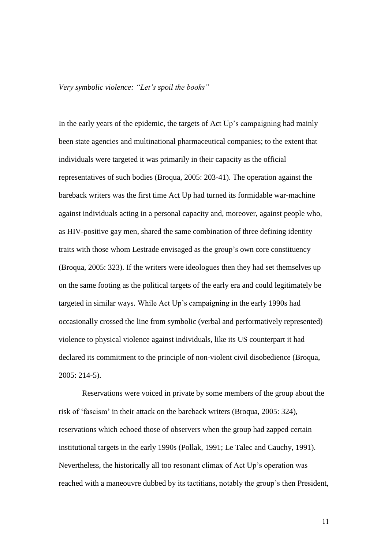*Very symbolic violence: "Let's spoil the books"*

In the early years of the epidemic, the targets of Act Up's campaigning had mainly been state agencies and multinational pharmaceutical companies; to the extent that individuals were targeted it was primarily in their capacity as the official representatives of such bodies (Broqua, 2005: 203-41). The operation against the bareback writers was the first time Act Up had turned its formidable war-machine against individuals acting in a personal capacity and, moreover, against people who, as HIV-positive gay men, shared the same combination of three defining identity traits with those whom Lestrade envisaged as the group's own core constituency (Broqua, 2005: 323). If the writers were ideologues then they had set themselves up on the same footing as the political targets of the early era and could legitimately be targeted in similar ways. While Act Up's campaigning in the early 1990s had occasionally crossed the line from symbolic (verbal and performatively represented) violence to physical violence against individuals, like its US counterpart it had declared its commitment to the principle of non-violent civil disobedience (Broqua, 2005: 214-5).

Reservations were voiced in private by some members of the group about the risk of 'fascism' in their attack on the bareback writers (Broqua, 2005: 324), reservations which echoed those of observers when the group had zapped certain institutional targets in the early 1990s (Pollak, 1991; Le Talec and Cauchy, 1991). Nevertheless, the historically all too resonant climax of Act Up's operation was reached with a maneouvre dubbed by its tactitians, notably the group's then President,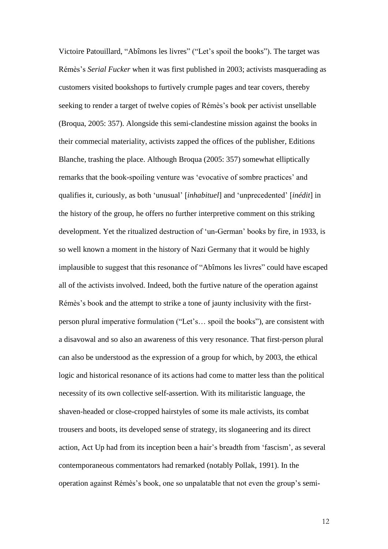Victoire Patouillard, "Abîmons les livres" ("Let's spoil the books"). The target was Rémès's *Serial Fucker* when it was first published in 2003; activists masquerading as customers visited bookshops to furtively crumple pages and tear covers, thereby seeking to render a target of twelve copies of Rémès's book per activist unsellable (Broqua, 2005: 357). Alongside this semi-clandestine mission against the books in their commecial materiality, activists zapped the offices of the publisher, Editions Blanche, trashing the place. Although Broqua (2005: 357) somewhat elliptically remarks that the book-spoiling venture was 'evocative of sombre practices' and qualifies it, curiously, as both 'unusual' [*inhabituel*] and 'unprecedented' [*inédit*] in the history of the group, he offers no further interpretive comment on this striking development. Yet the ritualized destruction of 'un-German' books by fire, in 1933, is so well known a moment in the history of Nazi Germany that it would be highly implausible to suggest that this resonance of "Abîmons les livres" could have escaped all of the activists involved. Indeed, both the furtive nature of the operation against Rémès's book and the attempt to strike a tone of jaunty inclusivity with the firstperson plural imperative formulation ("Let's… spoil the books"), are consistent with a disavowal and so also an awareness of this very resonance. That first-person plural can also be understood as the expression of a group for which, by 2003, the ethical logic and historical resonance of its actions had come to matter less than the political necessity of its own collective self-assertion. With its militaristic language, the shaven-headed or close-cropped hairstyles of some its male activists, its combat trousers and boots, its developed sense of strategy, its sloganeering and its direct action, Act Up had from its inception been a hair's breadth from 'fascism', as several contemporaneous commentators had remarked (notably Pollak, 1991). In the operation against Rémès's book, one so unpalatable that not even the group's semi-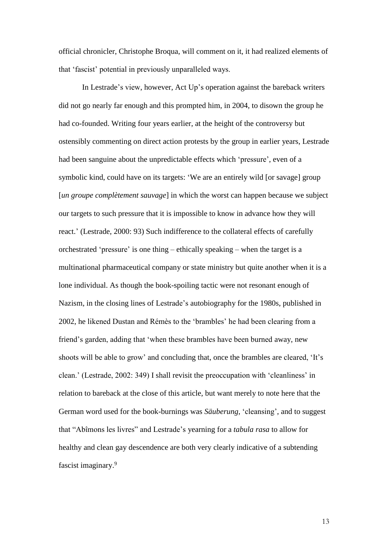official chronicler, Christophe Broqua, will comment on it, it had realized elements of that 'fascist' potential in previously unparalleled ways.

In Lestrade's view, however, Act Up's operation against the bareback writers did not go nearly far enough and this prompted him, in 2004, to disown the group he had co-founded. Writing four years earlier, at the height of the controversy but ostensibly commenting on direct action protests by the group in earlier years, Lestrade had been sanguine about the unpredictable effects which 'pressure', even of a symbolic kind, could have on its targets: 'We are an entirely wild [or savage] group [*un groupe complètement sauvage*] in which the worst can happen because we subject our targets to such pressure that it is impossible to know in advance how they will react.' (Lestrade, 2000: 93) Such indifference to the collateral effects of carefully orchestrated 'pressure' is one thing – ethically speaking – when the target is a multinational pharmaceutical company or state ministry but quite another when it is a lone individual. As though the book-spoiling tactic were not resonant enough of Nazism, in the closing lines of Lestrade's autobiography for the 1980s, published in 2002, he likened Dustan and Rémès to the 'brambles' he had been clearing from a friend's garden, adding that 'when these brambles have been burned away, new shoots will be able to grow' and concluding that, once the brambles are cleared, 'It's clean.' (Lestrade, 2002: 349) I shall revisit the preoccupation with 'cleanliness' in relation to bareback at the close of this article, but want merely to note here that the German word used for the book-burnings was *Säuberung*, 'cleansing', and to suggest that "Abîmons les livres" and Lestrade's yearning for a *tabula rasa* to allow for healthy and clean gay descendence are both very clearly indicative of a subtending fascist imaginary. 9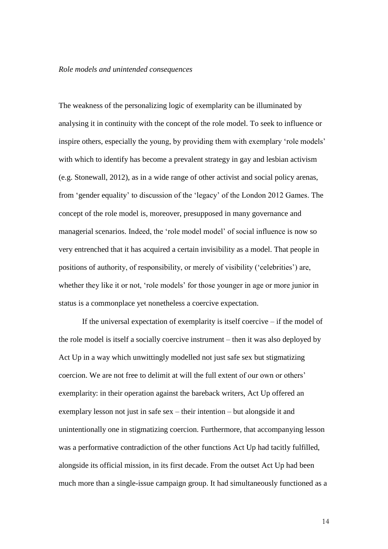#### *Role models and unintended consequences*

The weakness of the personalizing logic of exemplarity can be illuminated by analysing it in continuity with the concept of the role model. To seek to influence or inspire others, especially the young, by providing them with exemplary 'role models' with which to identify has become a prevalent strategy in gay and lesbian activism (e.g. Stonewall, 2012), as in a wide range of other activist and social policy arenas, from 'gender equality' to discussion of the 'legacy' of the London 2012 Games. The concept of the role model is, moreover, presupposed in many governance and managerial scenarios. Indeed, the 'role model model' of social influence is now so very entrenched that it has acquired a certain invisibility as a model. That people in positions of authority, of responsibility, or merely of visibility ('celebrities') are, whether they like it or not, 'role models' for those younger in age or more junior in status is a commonplace yet nonetheless a coercive expectation.

If the universal expectation of exemplarity is itself coercive – if the model of the role model is itself a socially coercive instrument – then it was also deployed by Act Up in a way which unwittingly modelled not just safe sex but stigmatizing coercion. We are not free to delimit at will the full extent of our own or others' exemplarity: in their operation against the bareback writers, Act Up offered an exemplary lesson not just in safe sex – their intention – but alongside it and unintentionally one in stigmatizing coercion. Furthermore, that accompanying lesson was a performative contradiction of the other functions Act Up had tacitly fulfilled, alongside its official mission, in its first decade. From the outset Act Up had been much more than a single-issue campaign group. It had simultaneously functioned as a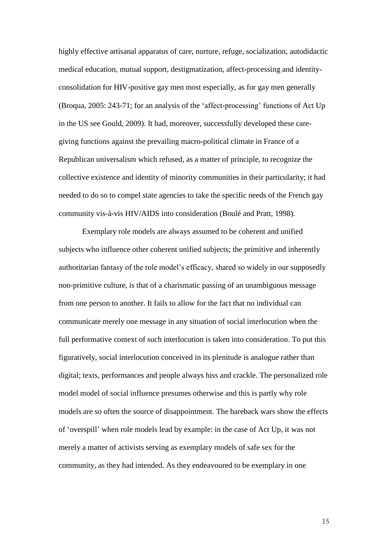highly effective artisanal apparatus of care, nurture, refuge, socialization, autodidactic medical education, mutual support, destigmatization, affect-processing and identityconsolidation for HIV-positive gay men most especially, as for gay men generally (Broqua, 2005: 243-71; for an analysis of the 'affect-processing' functions of Act Up in the US see Gould, 2009). It had, moreover, successfully developed these caregiving functions against the prevailing macro-political climate in France of a Republican universalism which refused, as a matter of principle, to recognize the collective existence and identity of minority communities in their particularity; it had needed to do so to compel state agencies to take the specific needs of the French gay community vis-à-vis HIV/AIDS into consideration (Boulé and Pratt, 1998).

Exemplary role models are always assumed to be coherent and unified subjects who influence other coherent unified subjects; the primitive and inherently authoritarian fantasy of the role model's efficacy, shared so widely in our supposedly non-primitive culture, is that of a charismatic passing of an unambiguous message from one person to another. It fails to allow for the fact that no individual can communicate merely one message in any situation of social interlocution when the full performative context of such interlocution is taken into consideration. To put this figuratively, social interlocution conceived in its plenitude is analogue rather than digital; texts, performances and people always hiss and crackle. The personalized role model model of social influence presumes otherwise and this is partly why role models are so often the source of disappointment. The bareback wars show the effects of 'overspill' when role models lead by example: in the case of Act Up, it was not merely a matter of activists serving as exemplary models of safe sex for the community, as they had intended. As they endeavoured to be exemplary in one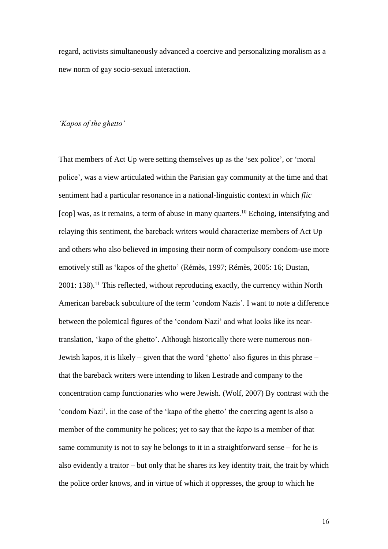regard, activists simultaneously advanced a coercive and personalizing moralism as a new norm of gay socio-sexual interaction.

## *'Kapos of the ghetto'*

That members of Act Up were setting themselves up as the 'sex police', or 'moral police', was a view articulated within the Parisian gay community at the time and that sentiment had a particular resonance in a national-linguistic context in which *flic* [cop] was, as it remains, a term of abuse in many quarters.<sup>10</sup> Echoing, intensifying and relaying this sentiment, the bareback writers would characterize members of Act Up and others who also believed in imposing their norm of compulsory condom-use more emotively still as 'kapos of the ghetto' (Rémès, 1997; Rémès, 2005: 16; Dustan,  $2001: 138$ ).<sup>11</sup> This reflected, without reproducing exactly, the currency within North American bareback subculture of the term 'condom Nazis'. I want to note a difference between the polemical figures of the 'condom Nazi' and what looks like its neartranslation, 'kapo of the ghetto'. Although historically there were numerous non-Jewish kapos, it is likely – given that the word 'ghetto' also figures in this phrase – that the bareback writers were intending to liken Lestrade and company to the concentration camp functionaries who were Jewish. (Wolf, 2007) By contrast with the 'condom Nazi', in the case of the 'kapo of the ghetto' the coercing agent is also a member of the community he polices; yet to say that the *kapo* is a member of that same community is not to say he belongs to it in a straightforward sense – for he is also evidently a traitor – but only that he shares its key identity trait, the trait by which the police order knows, and in virtue of which it oppresses, the group to which he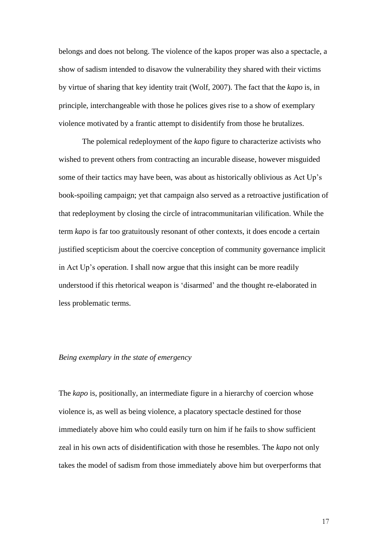belongs and does not belong. The violence of the kapos proper was also a spectacle, a show of sadism intended to disavow the vulnerability they shared with their victims by virtue of sharing that key identity trait (Wolf, 2007). The fact that the *kapo* is, in principle, interchangeable with those he polices gives rise to a show of exemplary violence motivated by a frantic attempt to disidentify from those he brutalizes.

The polemical redeployment of the *kapo* figure to characterize activists who wished to prevent others from contracting an incurable disease, however misguided some of their tactics may have been, was about as historically oblivious as Act Up's book-spoiling campaign; yet that campaign also served as a retroactive justification of that redeployment by closing the circle of intracommunitarian vilification. While the term *kapo* is far too gratuitously resonant of other contexts, it does encode a certain justified scepticism about the coercive conception of community governance implicit in Act Up's operation. I shall now argue that this insight can be more readily understood if this rhetorical weapon is 'disarmed' and the thought re-elaborated in less problematic terms.

### *Being exemplary in the state of emergency*

The *kapo* is, positionally, an intermediate figure in a hierarchy of coercion whose violence is, as well as being violence, a placatory spectacle destined for those immediately above him who could easily turn on him if he fails to show sufficient zeal in his own acts of disidentification with those he resembles. The *kapo* not only takes the model of sadism from those immediately above him but overperforms that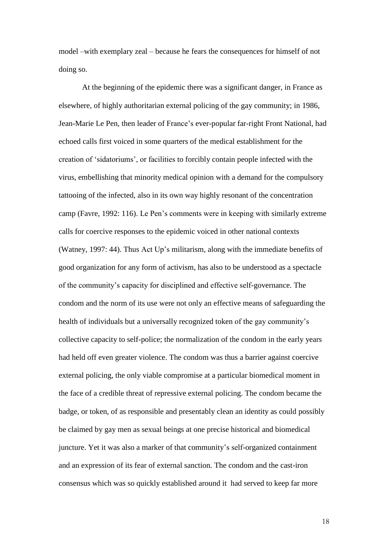model –with exemplary zeal – because he fears the consequences for himself of not doing so.

At the beginning of the epidemic there was a significant danger, in France as elsewhere, of highly authoritarian external policing of the gay community; in 1986, Jean-Marie Le Pen, then leader of France's ever-popular far-right Front National, had echoed calls first voiced in some quarters of the medical establishment for the creation of 'sidatoriums', or facilities to forcibly contain people infected with the virus, embellishing that minority medical opinion with a demand for the compulsory tattooing of the infected, also in its own way highly resonant of the concentration camp (Favre, 1992: 116). Le Pen's comments were in keeping with similarly extreme calls for coercive responses to the epidemic voiced in other national contexts (Watney, 1997: 44). Thus Act Up's militarism, along with the immediate benefits of good organization for any form of activism, has also to be understood as a spectacle of the community's capacity for disciplined and effective self-governance. The condom and the norm of its use were not only an effective means of safeguarding the health of individuals but a universally recognized token of the gay community's collective capacity to self-police; the normalization of the condom in the early years had held off even greater violence. The condom was thus a barrier against coercive external policing, the only viable compromise at a particular biomedical moment in the face of a credible threat of repressive external policing. The condom became the badge, or token, of as responsible and presentably clean an identity as could possibly be claimed by gay men as sexual beings at one precise historical and biomedical juncture. Yet it was also a marker of that community's self-organized containment and an expression of its fear of external sanction. The condom and the cast-iron consensus which was so quickly established around it had served to keep far more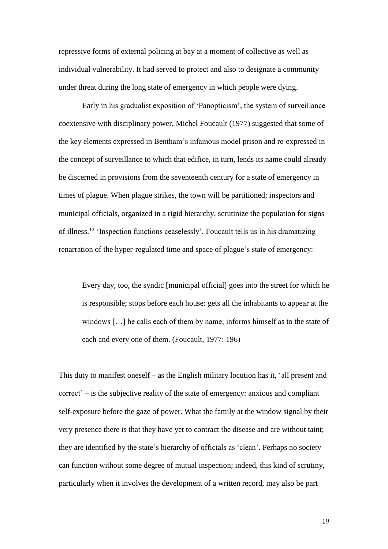repressive forms of external policing at bay at a moment of collective as well as individual vulnerability. It had served to protect and also to designate a community under threat during the long state of emergency in which people were dying.

Early in his gradualist exposition of 'Panopticism', the system of surveillance coextensive with disciplinary power, Michel Foucault (1977) suggested that some of the key elements expressed in Bentham's infamous model prison and re-expressed in the concept of surveillance to which that edifice, in turn, lends its name could already be discerned in provisions from the seventeenth century for a state of emergency in times of plague. When plague strikes, the town will be partitioned; inspectors and municipal officials, organized in a rigid hierarchy, scrutinize the population for signs of illness.<sup>12</sup> 'Inspection functions ceaselessly', Foucault tells us in his dramatizing renarration of the hyper-regulated time and space of plague's state of emergency:

Every day, too, the syndic [municipal official] goes into the street for which he is responsible; stops before each house: gets all the inhabitants to appear at the windows […] he calls each of them by name; informs himself as to the state of each and every one of them. (Foucault, 1977: 196)

This duty to manifest oneself – as the English military locution has it, 'all present and correct' – is the subjective reality of the state of emergency: anxious and compliant self-exposure before the gaze of power. What the family at the window signal by their very presence there is that they have yet to contract the disease and are without taint; they are identified by the state's hierarchy of officials as 'clean'. Perhaps no society can function without some degree of mutual inspection; indeed, this kind of scrutiny, particularly when it involves the development of a written record, may also be part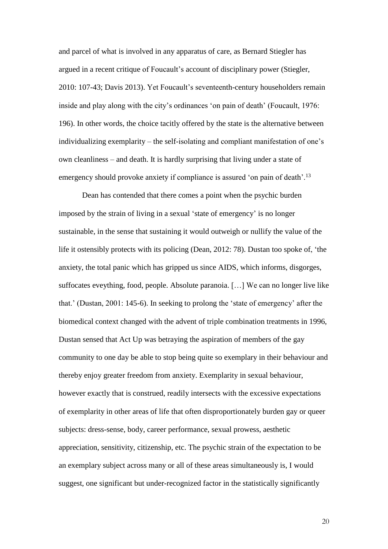and parcel of what is involved in any apparatus of care, as Bernard Stiegler has argued in a recent critique of Foucault's account of disciplinary power (Stiegler, 2010: 107-43; Davis 2013). Yet Foucault's seventeenth-century householders remain inside and play along with the city's ordinances 'on pain of death' (Foucault, 1976: 196). In other words, the choice tacitly offered by the state is the alternative between individualizing exemplarity – the self-isolating and compliant manifestation of one's own cleanliness – and death. It is hardly surprising that living under a state of emergency should provoke anxiety if compliance is assured 'on pain of death'.<sup>13</sup>

Dean has contended that there comes a point when the psychic burden imposed by the strain of living in a sexual 'state of emergency' is no longer sustainable, in the sense that sustaining it would outweigh or nullify the value of the life it ostensibly protects with its policing (Dean, 2012: 78). Dustan too spoke of, 'the anxiety, the total panic which has gripped us since AIDS, which informs, disgorges, suffocates eveything, food, people. Absolute paranoia. […] We can no longer live like that.' (Dustan, 2001: 145-6). In seeking to prolong the 'state of emergency' after the biomedical context changed with the advent of triple combination treatments in 1996, Dustan sensed that Act Up was betraying the aspiration of members of the gay community to one day be able to stop being quite so exemplary in their behaviour and thereby enjoy greater freedom from anxiety. Exemplarity in sexual behaviour, however exactly that is construed, readily intersects with the excessive expectations of exemplarity in other areas of life that often disproportionately burden gay or queer subjects: dress-sense, body, career performance, sexual prowess, aesthetic appreciation, sensitivity, citizenship, etc. The psychic strain of the expectation to be an exemplary subject across many or all of these areas simultaneously is, I would suggest, one significant but under-recognized factor in the statistically significantly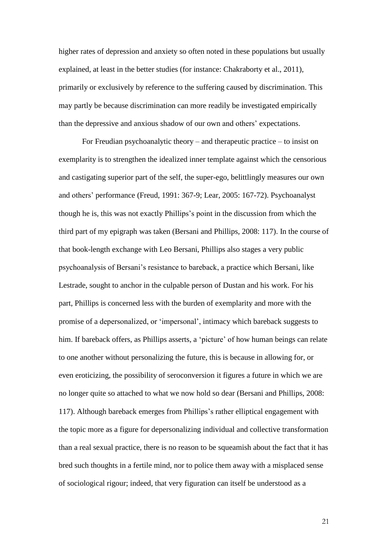higher rates of depression and anxiety so often noted in these populations but usually explained, at least in the better studies (for instance: Chakraborty et al., 2011), primarily or exclusively by reference to the suffering caused by discrimination. This may partly be because discrimination can more readily be investigated empirically than the depressive and anxious shadow of our own and others' expectations.

For Freudian psychoanalytic theory – and therapeutic practice – to insist on exemplarity is to strengthen the idealized inner template against which the censorious and castigating superior part of the self, the super-ego, belittlingly measures our own and others' performance (Freud, 1991: 367-9; Lear, 2005: 167-72). Psychoanalyst though he is, this was not exactly Phillips's point in the discussion from which the third part of my epigraph was taken (Bersani and Phillips, 2008: 117). In the course of that book-length exchange with Leo Bersani, Phillips also stages a very public psychoanalysis of Bersani's resistance to bareback, a practice which Bersani, like Lestrade, sought to anchor in the culpable person of Dustan and his work. For his part, Phillips is concerned less with the burden of exemplarity and more with the promise of a depersonalized, or 'impersonal', intimacy which bareback suggests to him. If bareback offers, as Phillips asserts, a 'picture' of how human beings can relate to one another without personalizing the future, this is because in allowing for, or even eroticizing, the possibility of seroconversion it figures a future in which we are no longer quite so attached to what we now hold so dear (Bersani and Phillips, 2008: 117). Although bareback emerges from Phillips's rather elliptical engagement with the topic more as a figure for depersonalizing individual and collective transformation than a real sexual practice, there is no reason to be squeamish about the fact that it has bred such thoughts in a fertile mind, nor to police them away with a misplaced sense of sociological rigour; indeed, that very figuration can itself be understood as a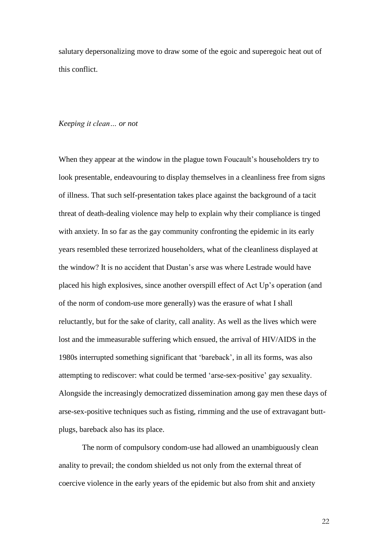salutary depersonalizing move to draw some of the egoic and superegoic heat out of this conflict.

#### *Keeping it clean… or not*

When they appear at the window in the plague town Foucault's householders try to look presentable, endeavouring to display themselves in a cleanliness free from signs of illness. That such self-presentation takes place against the background of a tacit threat of death-dealing violence may help to explain why their compliance is tinged with anxiety. In so far as the gay community confronting the epidemic in its early years resembled these terrorized householders, what of the cleanliness displayed at the window? It is no accident that Dustan's arse was where Lestrade would have placed his high explosives, since another overspill effect of Act Up's operation (and of the norm of condom-use more generally) was the erasure of what I shall reluctantly, but for the sake of clarity, call anality. As well as the lives which were lost and the immeasurable suffering which ensued, the arrival of HIV/AIDS in the 1980s interrupted something significant that 'bareback', in all its forms, was also attempting to rediscover: what could be termed 'arse-sex-positive' gay sexuality. Alongside the increasingly democratized dissemination among gay men these days of arse-sex-positive techniques such as fisting, rimming and the use of extravagant buttplugs, bareback also has its place.

The norm of compulsory condom-use had allowed an unambiguously clean anality to prevail; the condom shielded us not only from the external threat of coercive violence in the early years of the epidemic but also from shit and anxiety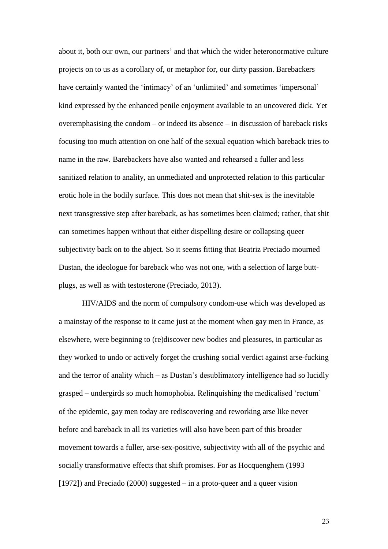about it, both our own, our partners' and that which the wider heteronormative culture projects on to us as a corollary of, or metaphor for, our dirty passion. Barebackers have certainly wanted the 'intimacy' of an 'unlimited' and sometimes 'impersonal' kind expressed by the enhanced penile enjoyment available to an uncovered dick. Yet overemphasising the condom – or indeed its absence – in discussion of bareback risks focusing too much attention on one half of the sexual equation which bareback tries to name in the raw. Barebackers have also wanted and rehearsed a fuller and less sanitized relation to anality, an unmediated and unprotected relation to this particular erotic hole in the bodily surface. This does not mean that shit-sex is the inevitable next transgressive step after bareback, as has sometimes been claimed; rather, that shit can sometimes happen without that either dispelling desire or collapsing queer subjectivity back on to the abject. So it seems fitting that Beatriz Preciado mourned Dustan, the ideologue for bareback who was not one, with a selection of large buttplugs, as well as with testosterone (Preciado, 2013).

HIV/AIDS and the norm of compulsory condom-use which was developed as a mainstay of the response to it came just at the moment when gay men in France, as elsewhere, were beginning to (re)discover new bodies and pleasures, in particular as they worked to undo or actively forget the crushing social verdict against arse-fucking and the terror of anality which – as Dustan's desublimatory intelligence had so lucidly grasped – undergirds so much homophobia. Relinquishing the medicalised 'rectum' of the epidemic, gay men today are rediscovering and reworking arse like never before and bareback in all its varieties will also have been part of this broader movement towards a fuller, arse-sex-positive, subjectivity with all of the psychic and socially transformative effects that shift promises. For as Hocquenghem (1993 [1972]) and Preciado (2000) suggested – in a proto-queer and a queer vision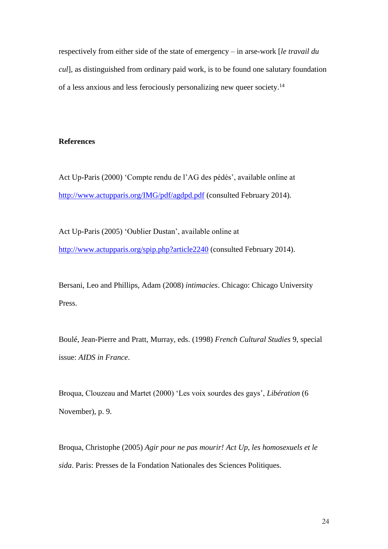respectively from either side of the state of emergency – in arse-work [*le travail du cul*], as distinguished from ordinary paid work, is to be found one salutary foundation of a less anxious and less ferociously personalizing new queer society.<sup>14</sup>

## **References**

Act Up-Paris (2000) 'Compte rendu de l'AG des pédés', available online at <http://www.actupparis.org/IMG/pdf/agdpd.pdf> (consulted February 2014).

Act Up-Paris (2005) 'Oublier Dustan', available online at <http://www.actupparis.org/spip.php?article2240> (consulted February 2014).

Bersani, Leo and Phillips, Adam (2008) *intimacies*. Chicago: Chicago University Press.

Boulé, Jean-Pierre and Pratt, Murray, eds. (1998) *French Cultural Studies* 9, special issue: *AIDS in France*.

Broqua, Clouzeau and Martet (2000) 'Les voix sourdes des gays', *Libération* (6 November), p. 9.

Broqua, Christophe (2005) *Agir pour ne pas mourir! Act Up, les homosexuels et le sida*. Paris: Presses de la Fondation Nationales des Sciences Politiques.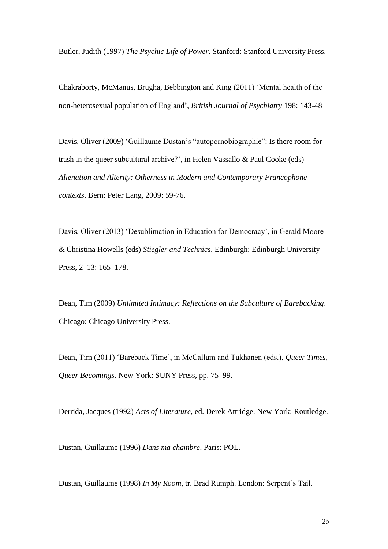Butler, Judith (1997) *The Psychic Life of Power*. Stanford: Stanford University Press.

Chakraborty, McManus, Brugha, Bebbington and King (2011) 'Mental health of the non-heterosexual population of England', *British Journal of Psychiatry* 198: 143-48

Davis, Oliver (2009) 'Guillaume Dustan's "autopornobiographie": Is there room for trash in the queer subcultural archive?', in Helen Vassallo & Paul Cooke (eds) *Alienation and Alterity: Otherness in Modern and Contemporary Francophone contexts*. Bern: Peter Lang, 2009: 59-76.

Davis, Oliver (2013) 'Desublimation in Education for Democracy', in Gerald Moore & Christina Howells (eds) *Stiegler and Technics*. Edinburgh: Edinburgh University Press, 2–13: 165–178.

Dean, Tim (2009) *Unlimited Intimacy: Reflections on the Subculture of Barebacking*. Chicago: Chicago University Press.

Dean, Tim (2011) 'Bareback Time', in McCallum and Tukhanen (eds.), *Queer Times, Queer Becomings*. New York: SUNY Press, pp. 75–99.

Derrida, Jacques (1992) *Acts of Literature*, ed. Derek Attridge. New York: Routledge.

Dustan, Guillaume (1996) *Dans ma chambre*. Paris: POL.

Dustan, Guillaume (1998) *In My Room*, tr. Brad Rumph. London: Serpent's Tail.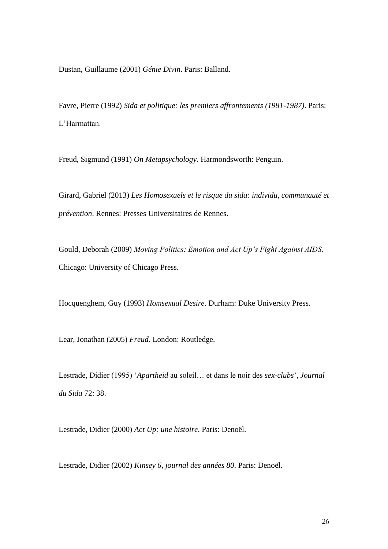Dustan, Guillaume (2001) *Génie Divin*. Paris: Balland.

Favre, Pierre (1992) *Sida et politique: les premiers affrontements (1981-1987)*. Paris: L'Harmattan.

Freud, Sigmund (1991) *On Metapsychology*. Harmondsworth: Penguin.

Girard, Gabriel (2013) *Les Homosexuels et le risque du sida: individu, communauté et prévention*. Rennes: Presses Universitaires de Rennes.

Gould, Deborah (2009) *Moving Politics: Emotion and Act Up's Fight Against AIDS*. Chicago: University of Chicago Press.

Hocquenghem, Guy (1993) *Homsexual Desire*. Durham: Duke University Press.

Lear, Jonathan (2005) *Freud*. London: Routledge.

Lestrade, Didier (1995) '*Apartheid* au soleil… et dans le noir des *sex-clubs*', *Journal du Sida* 72: 38.

Lestrade, Didier (2000) *Act Up: une histoire*. Paris: Denoël.

Lestrade, Didier (2002) *Kinsey 6, journal des années 80*. Paris: Denoël.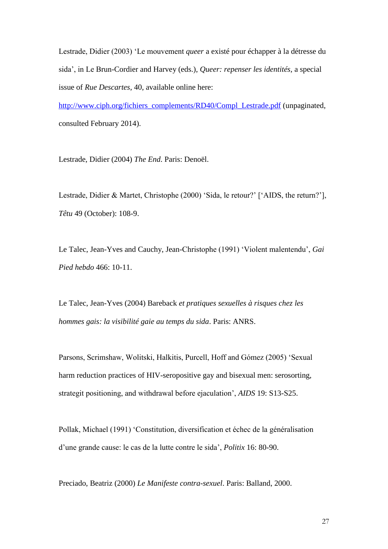Lestrade, Didier (2003) 'Le mouvement *queer* a existé pour échapper à la détresse du sida', in Le Brun-Cordier and Harvey (eds.), *Queer: repenser les identités*, a special issue of *Rue Descartes*, 40, available online here:

[http://www.ciph.org/fichiers\\_complements/RD40/Compl\\_Lestrade.pdf](http://www.ciph.org/fichiers_complements/RD40/Compl_Lestrade.pdf) (unpaginated, consulted February 2014).

Lestrade, Didier (2004) *The End*. Paris: Denoël.

Lestrade, Didier & Martet, Christophe (2000) 'Sida, le retour?' ['AIDS, the return?'], *Têtu* 49 (October): 108-9.

Le Talec, Jean-Yves and Cauchy, Jean-Christophe (1991) 'Violent malentendu', *Gai Pied hebdo* 466: 10-11.

Le Talec, Jean-Yves (2004) Bareback *et pratiques sexuelles à risques chez les hommes gais: la visibilité gaie au temps du sida*. Paris: ANRS.

Parsons, Scrimshaw, Wolitski, Halkitis, Purcell, Hoff and Gómez (2005) 'Sexual harm reduction practices of HIV-seropositive gay and bisexual men: serosorting, strategit positioning, and withdrawal before ejaculation', *AIDS* 19: S13-S25.

Pollak, Michael (1991) 'Constitution, diversification et échec de la généralisation d'une grande cause: le cas de la lutte contre le sida', *Politix* 16: 80-90.

Preciado, Beatriz (2000) *Le Manifeste contra-sexuel*. Paris: Balland, 2000.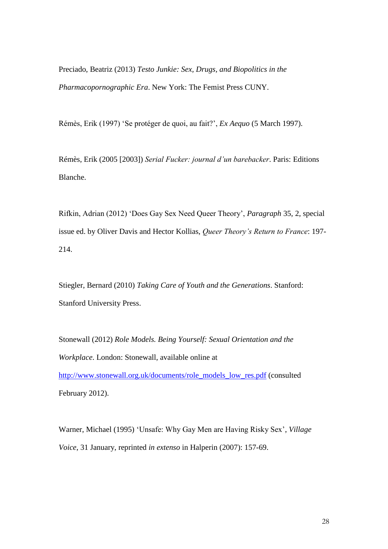Preciado, Beatriz (2013) *Testo Junkie: Sex, Drugs, and Biopolitics in the Pharmacopornographic Era*. New York: The Femist Press CUNY.

Rémès, Erik (1997) 'Se protéger de quoi, au fait?', *Ex Aequo* (5 March 1997).

Rémès, Erik (2005 [2003]) *Serial Fucker: journal d'un barebacker*. Paris: Editions Blanche.

Rifkin, Adrian (2012) 'Does Gay Sex Need Queer Theory', *Paragraph* 35, 2, special issue ed. by Oliver Davis and Hector Kollias, *Queer Theory's Return to France*: 197- 214.

Stiegler, Bernard (2010) *Taking Care of Youth and the Generations*. Stanford: Stanford University Press.

Stonewall (2012) *Role Models. Being Yourself: Sexual Orientation and the Workplace*. London: Stonewall, available online at [http://www.stonewall.org.uk/documents/role\\_models\\_low\\_res.pdf](http://www.stonewall.org.uk/documents/role_models_low_res.pdf) (consulted February 2012).

Warner, Michael (1995) 'Unsafe: Why Gay Men are Having Risky Sex', *Village Voice*, 31 January, reprinted *in extenso* in Halperin (2007): 157-69.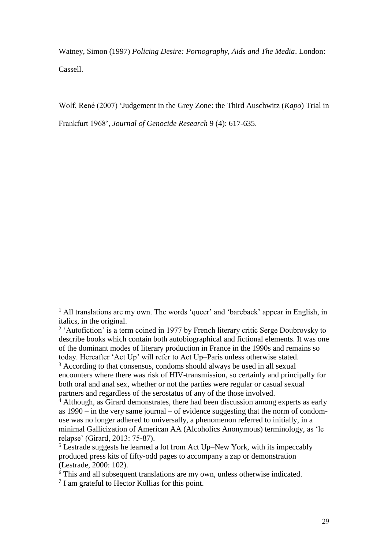Watney, Simon (1997) *Policing Desire: Pornography, Aids and The Media*. London: Cassell.

Wolf, René (2007) 'Judgement in the Grey Zone: the Third Auschwitz (*Kapo*) Trial in Frankfurt 1968', *Journal of Genocide Research* 9 (4): 617-635.

 $\overline{a}$ 

<sup>&</sup>lt;sup>1</sup> All translations are my own. The words 'queer' and 'bareback' appear in English, in italics, in the original.

<sup>&</sup>lt;sup>2</sup> 'Autofiction' is a term coined in 1977 by French literary critic Serge Doubrovsky to describe books which contain both autobiographical and fictional elements. It was one of the dominant modes of literary production in France in the 1990s and remains so today. Hereafter 'Act Up' will refer to Act Up–Paris unless otherwise stated.

<sup>&</sup>lt;sup>3</sup> According to that consensus, condoms should always be used in all sexual encounters where there was risk of HIV-transmission, so certainly and principally for both oral and anal sex, whether or not the parties were regular or casual sexual partners and regardless of the serostatus of any of the those involved.

<sup>4</sup> Although, as Girard demonstrates, there had been discussion among experts as early as 1990 – in the very same journal – of evidence suggesting that the norm of condomuse was no longer adhered to universally, a phenomenon referred to initially, in a minimal Gallicization of American AA (Alcoholics Anonymous) terminology, as 'le relapse' (Girard, 2013: 75-87).

<sup>5</sup> Lestrade suggests he learned a lot from Act Up–New York, with its impeccably produced press kits of fifty-odd pages to accompany a zap or demonstration (Lestrade, 2000: 102).

<sup>&</sup>lt;sup>6</sup> This and all subsequent translations are my own, unless otherwise indicated.

<sup>&</sup>lt;sup>7</sup> I am grateful to Hector Kollias for this point.